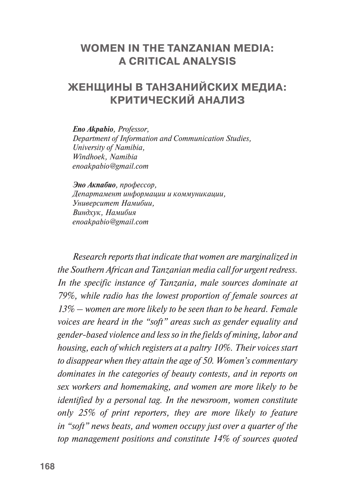## **WOMEN IN THE TANZANIAN MEDIA: A CRITICAL ANALYSIS**

# **ЖЕНЩИНЫ В ТАНЗАНИЙСКИХ МЕДИА: КРИТИЧЕСКИЙ АНАЛИЗ**

*Eno Akpabio, Professor, Department of Information and Communication Studies, University of Namibia, Windhoek, Namibia [enoakpabio@gmail.com](mailto:enoakpabio@gmail.com)*

*Эно Акпабио, профессор, Департамент информации и коммуникации, Университет Намибии, Виндхук, Намибия enoakpabio@gmail.com*

*Research reports that indicate that women are marginalized in the Southern African and Tanzanian media call for urgent redress. In the specific instance of Tanzania, male sources dominate at 79%, while radio has the lowest proportion of female sources at 13% – women are more likely to be seen than to be heard. Female voices are heard in the "soft" areas such as gender equality and gender-based violence and less so in the fields of mining, labor and housing, each of which registers at a paltry 10%. Their voices start to disappear when they attain the age of 50. Women's commentary dominates in the categories of beauty contests, and in reports on sex workers and homemaking, and women are more likely to be identified by a personal tag. In the newsroom, women constitute only 25% of print reporters, they are more likely to feature in "soft" news beats, and women occupy just over a quarter of the top management positions and constitute 14% of sources quoted*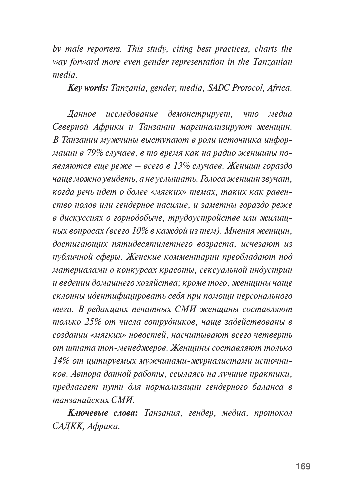*by male reporters. This study, citing best practices, charts the way forward more even gender representation in the Tanzanian media.*

*Key words: Tanzania, gender, media, SADC Protocol, Africa.*

*Данное исследование демонстрирует, что медиа Северной Африки и Танзании маргинализируют женщин. В Танзании мужчины выступают в роли источника информации в 79% случаев, в то время как на радио женщины появляются еще реже – всего в 13% случаев. Женщин гораздо чаще можно увидеть, а не услышать. Голоса женщин звучат, когда речь идет о более «мягких» темах, таких как равенство полов или гендерное насилие, и заметны гораздо реже в дискуссиях о горнодобыче, трудоустройстве или жилищных вопросах (всего 10% в каждой из тем). Мнения женщин, достигающих пятидесятилетнего возраста, исчезают из публичной сферы. Женские комментарии преобладают под материалами о конкурсах красоты, сексуальной индустрии и ведении домашнего хозяйства; кроме того, женщины чаще склонны идентифицировать себя при помощи персонального тега. В редакциях печатных СМИ женщины составляют только 25% от числа сотрудников, чаще задействованы в создании «мягких» новостей, насчитывают всего четверть от штата топ-менеджеров. Женщины составляют только 14% от цитируемых мужчинами-журналистами источников. Автора данной работы, ссылаясь на лучшие практики, предлагает пути для нормализации гендерного баланса в танзанийских СМИ.*

*Ключевые слова: Танзания, гендер, медиа, протокол САДКК, Африка.*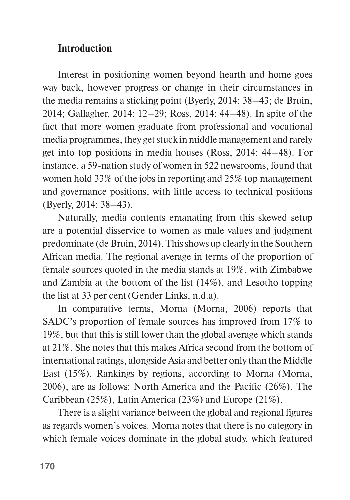# **Introduction**

Interest in positioning women beyond hearth and home goes way back, however progress or change in their circumstances in the media remains a sticking point (Byerly, 2014: 38–43; de Bruin, 2014; Gallagher, 2014: 12–29; Ross, 2014: 44–48). In spite of the fact that more women graduate from professional and vocational media programmes, they get stuck in middle management and rarely get into top positions in media houses (Ross, 2014: 44–48). For instance, a 59-nation study of women in 522 newsrooms, found that women hold 33% of the jobs in reporting and 25% top management and governance positions, with little access to technical positions (Byerly, 2014: 38–43).

Naturally, media contents emanating from this skewed setup are a potential disservice to women as male values and judgment predominate (de Bruin, 2014). This shows up clearly in the Southern African media. The regional average in terms of the proportion of female sources quoted in the media stands at 19%, with Zimbabwe and Zambia at the bottom of the list (14%), and Lesotho topping the list at 33 per cent(Gender Links, n.d.a).

In comparative terms, Morna (Morna, 2006) reports that SADC's proportion of female sources has improved from 17% to 19%, but that this is still lower than the global average which stands at 21%. She notes that this makes Africa second from the bottom of international ratings, alongside Asia and better only than the Middle East (15%). Rankings by regions, according to Morna (Morna, 2006), are as follows: North America and the Pacific (26%), The Caribbean (25%), Latin America (23%) and Europe (21%).

There is a slight variance between the global and regional figures as regards women's voices. Morna notes that there is no category in which female voices dominate in the global study, which featured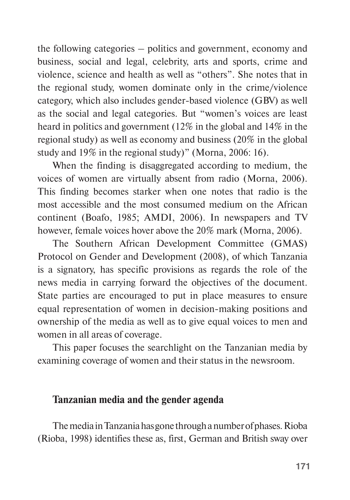the following categories – politics and government, economy and business, social and legal, celebrity, arts and sports, crime and violence, science and health as well as "others". She notes that in the regional study, women dominate only in the crime/violence category, which also includes gender-based violence (GBV) as well as the social and legal categories. But "women's voices are least heard in politics and government (12% in the global and 14% in the regional study) as well as economy and business (20% in the global study and 19% in the regional study)" (Morna, 2006: 16).

When the finding is disaggregated according to medium, the voices of women are virtually absent from radio (Morna, 2006). This finding becomes starker when one notes that radio is the most accessible and the most consumed medium on the African continent (Boafo, 1985; AMDI, 2006). In newspapers and TV however, female voices hover above the 20% mark (Morna, 2006).

The Southern African Development Committee (GMAS) Protocol on Gender and Development (2008), of which Tanzania is a signatory, has specific provisions as regards the role of the news media in carrying forward the objectives of the document. State parties are encouraged to put in place measures to ensure equal representation of women in decision-making positions and ownership of the media as well as to give equal voices to men and women in all areas of coverage.

This paper focuses the searchlight on the Tanzanian media by examining coverage of women and their status in the newsroom.

#### **Tanzanian media and the gender agenda**

The media in Tanzania has gone through a number of phases. Rioba (Rioba, 1998) identifies these as, first, German and British sway over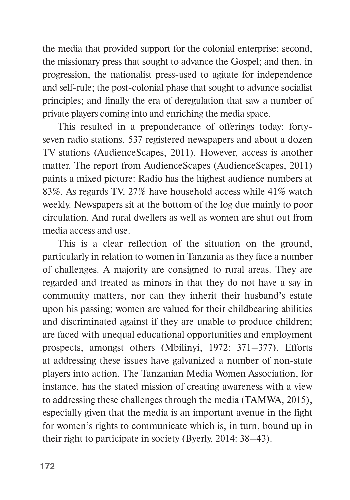the media that provided support for the colonial enterprise; second, the missionary press that sought to advance the Gospel; and then, in progression, the nationalist press-used to agitate for independence and self-rule; the post-colonial phase that sought to advance socialist principles; and finally the era of deregulation that saw a number of private players coming into and enriching the media space.

This resulted in a preponderance of offerings today: fortyseven radio stations, 537 registered newspapers and about a dozen TV stations (AudienceScapes, 2011). However, access is another matter. The report from AudienceScapes (AudienceScapes, 2011) paints a mixed picture: Radio has the highest audience numbers at 83%. As regards TV, 27% have household access while 41% watch weekly. Newspapers sit at the bottom of the log due mainly to poor circulation. And rural dwellers as well as women are shut out from media access and use.

This is a clear reflection of the situation on the ground, particularly in relation to women in Tanzania as they face a number of challenges. A majority are consigned to rural areas. They are regarded and treated as minors in that they do not have a say in community matters, nor can they inherit their husband's estate upon his passing; women are valued for their childbearing abilities and discriminated against if they are unable to produce children; are faced with unequal educational opportunities and employment prospects, amongst others (Mbilinyi, 1972: 371–377). Efforts at addressing these issues have galvanized a number of non-state players into action. The Tanzanian Media Women Association, for instance, has the stated mission of creating awareness with a view to addressing these challenges through the media (TAMWA, 2015), especially given that the media is an important avenue in the fight for women's rights to communicate which is, in turn, bound up in their right to participate in society (Byerly, 2014: 38–43).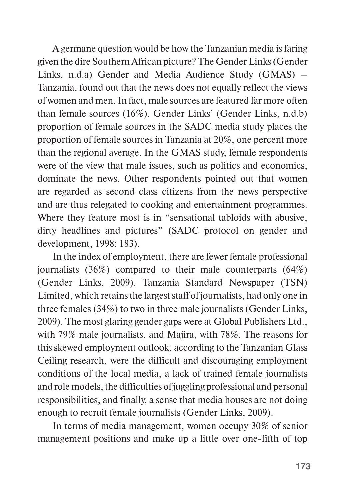A germane question would be how the Tanzanian media is faring given the dire Southern African picture? The Gender Links (Gender Links, n.d.a) Gender and Media Audience Study (GMAS) – Tanzania, found out that the news does not equally reflect the views of women and men. In fact, male sources are featured far more often than female sources (16%). Gender Links' (Gender Links, n.d.b) proportion of female sources in the SADC media study places the proportion of female sources in Tanzania at 20%, one percent more than the regional average. In the GMAS study, female respondents were of the view that male issues, such as politics and economics, dominate the news. Other respondents pointed out that women are regarded as second class citizens from the news perspective and are thus relegated to cooking and entertainment programmes. Where they feature most is in "sensational tabloids with abusive, dirty headlines and pictures" (SADC protocol on gender and development, 1998: 183).

In the index of employment, there are fewer female professional journalists (36%) compared to their male counterparts (64%) (Gender Links, 2009). Tanzania Standard Newspaper (TSN) Limited, which retains the largest staff of journalists, had only one in three females (34%) to two in three male journalists (Gender Links, 2009). The most glaring gender gaps were at Global Publishers Ltd., with 79% male journalists, and Majira, with 78%. The reasons for this skewed employment outlook, according to the Tanzanian Glass Ceiling research, were the difficult and discouraging employment conditions of the local media, a lack of trained female journalists and role models, the difficulties of juggling professional and personal responsibilities, and finally, a sense that media houses are not doing enough to recruit female journalists (Gender Links, 2009).

In terms of media management, women occupy 30% of senior management positions and make up a little over one-fifth of top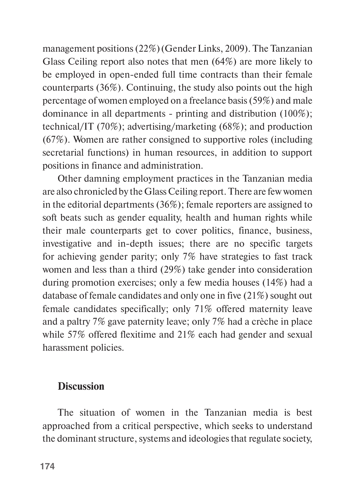management positions (22%)(Gender Links, 2009). The Tanzanian Glass Ceiling report also notes that men (64%) are more likely to be employed in open-ended full time contracts than their female counterparts (36%). Continuing, the study also points out the high percentage of women employed on a freelance basis (59%) and male dominance in all departments - printing and distribution (100%); technical/IT (70%); advertising/marketing (68%); and production (67%). Women are rather consigned to supportive roles (including secretarial functions) in human resources, in addition to support positions in finance and administration.

Other damning employment practices in the Tanzanian media are also chronicled by the Glass Ceiling report. There are few women in the editorial departments (36%); female reporters are assigned to soft beats such as gender equality, health and human rights while their male counterparts get to cover politics, finance, business, investigative and in-depth issues; there are no specific targets for achieving gender parity; only 7% have strategies to fast track women and less than a third (29%) take gender into consideration during promotion exercises; only a few media houses (14%) had a database of female candidates and only one in five (21%) sought out female candidates specifically; only 71% offered maternity leave and a paltry 7% gave paternity leave; only 7% had a crèche in place while 57% offered flexitime and 21% each had gender and sexual harassment policies.

## **Discussion**

The situation of women in the Tanzanian media is best approached from a critical perspective, which seeks to understand the dominant structure, systems and ideologies that regulate society,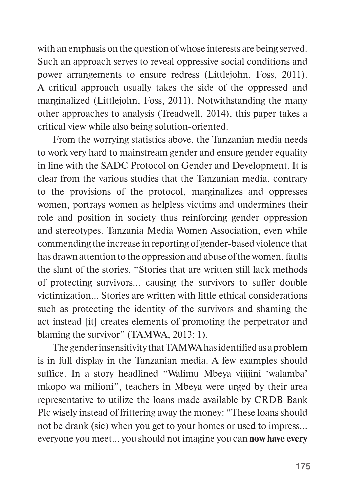with an emphasis on the question of whose interests are being served. Such an approach serves to reveal oppressive social conditions and power arrangements to ensure redress (Littlejohn, Foss, 2011). A critical approach usually takes the side of the oppressed and marginalized (Littlejohn, Foss, 2011). Notwithstanding the many other approaches to analysis (Treadwell, 2014), this paper takes a critical view while also being solution-oriented.

From the worrying statistics above, the Tanzanian media needs to work very hard to mainstream gender and ensure gender equality in line with the SADC Protocol on Gender and Development. It is clear from the various studies that the Tanzanian media, contrary to the provisions of the protocol, marginalizes and oppresses women, portrays women as helpless victims and undermines their role and position in society thus reinforcing gender oppression and stereotypes. Tanzania Media Women Association, even while commending the increase in reporting of gender-based violence that has drawn attention to the oppression and abuse of the women, faults the slant of the stories. "Stories that are written still lack methods of protecting survivors… causing the survivors to suffer double victimization… Stories are written with little ethical considerations such as protecting the identity of the survivors and shaming the act instead [it] creates elements of promoting the perpetrator and blaming the survivor" (TAMWA, 2013: 1).

The gender insensitivity that TAMWA has identified as a problem is in full display in the Tanzanian media. A few examples should suffice. In a story headlined "Walimu Mbeya vijijini 'walamba' mkopo wa milioni", teachers in Mbeya were urged by their area representative to utilize the loans made available by CRDB Bank Plc wisely instead of frittering away the money: "These loans should not be drank (sic) when you get to your homes or used to impress… everyone you meet… you should not imagine you can **now have every**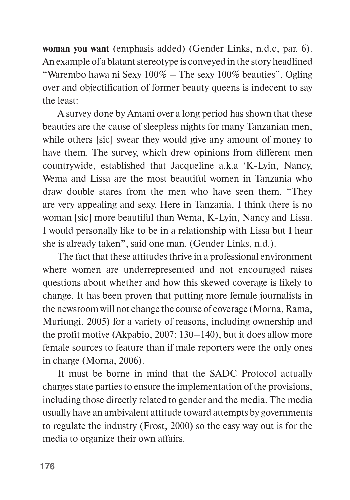**woman you want** (emphasis added) (Gender Links, n.d.c, par. 6). An example of a blatant stereotype is conveyed in the story headlined "Warembo hawa ni Sexy  $100\%$  – The sexy  $100\%$  beauties". Ogling over and objectification of former beauty queens is indecent to say the least:

A survey done by Amani over a long period has shown that these beauties are the cause of sleepless nights for many Tanzanian men, while others [sic] swear they would give any amount of money to have them. The survey, which drew opinions from different men countrywide, established that Jacqueline a.k.a 'K-Lyin, Nancy, Wema and Lissa are the most beautiful women in Tanzania who draw double stares from the men who have seen them. "They are very appealing and sexy. Here in Tanzania, I think there is no woman [sic] more beautiful than Wema, K-Lyin, Nancy and Lissa. I would personally like to be in a relationship with Lissa but I hear she is already taken", said one man. (Gender Links, n.d.).

The fact that these attitudes thrive in a professional environment where women are underrepresented and not encouraged raises questions about whether and how this skewed coverage is likely to change. It has been proven that putting more female journalists in the newsroom will not change the course of coverage (Morna, Rama, Muriungi, 2005) for a variety of reasons, including ownership and the profit motive (Akpabio, 2007: 130–140), but it does allow more female sources to feature than if male reporters were the only ones in charge (Morna, 2006).

It must be borne in mind that the SADC Protocol actually charges state parties to ensure the implementation of the provisions, including those directly related to gender and the media. The media usually have an ambivalent attitude toward attempts by governments to regulate the industry (Frost, 2000) so the easy way out is for the media to organize their own affairs.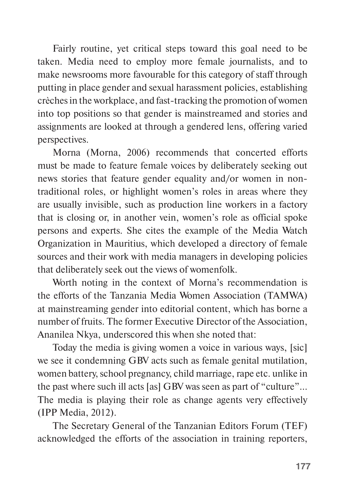Fairly routine, yet critical steps toward this goal need to be taken. Media need to employ more female journalists, and to make newsrooms more favourable for this category of staff through putting in place gender and sexual harassment policies, establishing crèches in the workplace, and fast-tracking the promotion of women into top positions so that gender is mainstreamed and stories and assignments are looked at through a gendered lens, offering varied perspectives.

Morna (Morna, 2006) recommends that concerted efforts must be made to feature female voices by deliberately seeking out news stories that feature gender equality and/or women in nontraditional roles, or highlight women's roles in areas where they are usually invisible, such as production line workers in a factory that is closing or, in another vein, women's role as official spoke persons and experts. She cites the example of the Media Watch Organization in Mauritius, which developed a directory of female sources and their work with media managers in developing policies that deliberately seek out the views of womenfolk.

Worth noting in the context of Morna's recommendation is the efforts of the Tanzania Media Women Association (TAMWA) at mainstreaming gender into editorial content, which has borne a number of fruits. The former Executive Director of the Association, Ananilea Nkya, underscored this when she noted that:

Today the media is giving women a voice in various ways, [sic] we see it condemning GBV acts such as female genital mutilation, women battery, school pregnancy, child marriage, rape etc. unlike in the past where such ill acts [as] GBV was seen as part of "culture"… The media is playing their role as change agents very effectively (IPP Media, 2012).

The Secretary General of the Tanzanian Editors Forum (TEF) acknowledged the efforts of the association in training reporters,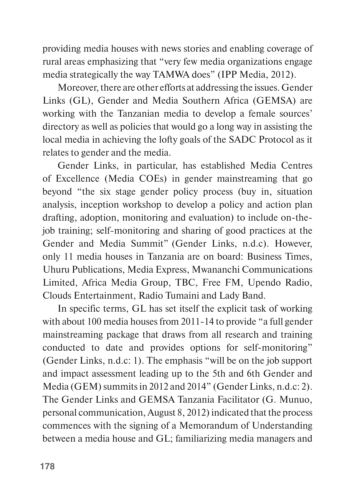providing media houses with news stories and enabling coverage of rural areas emphasizing that "very few media organizations engage media strategically the way TAMWA does" (IPP Media, 2012).

Moreover, there are other efforts at addressing the issues. Gender Links (GL), Gender and Media Southern Africa (GEMSA) are working with the Tanzanian media to develop a female sources' directory as well as policies that would go a long way in assisting the local media in achieving the lofty goals of the SADC Protocol as it relates to gender and the media.

Gender Links, in particular, has established Media Centres of Excellence (Media COEs) in gender mainstreaming that go beyond "the six stage gender policy process (buy in, situation analysis, inception workshop to develop a policy and action plan drafting, adoption, monitoring and evaluation) to include on-thejob training; self-monitoring and sharing of good practices at the Gender and Media Summit" (Gender Links, n.d.c). However, only 11 media houses in Tanzania are on board: Business Times, Uhuru Publications, Media Express, Mwananchi Communications Limited, Africa Media Group, TBC, Free FM, Upendo Radio, Clouds Entertainment, Radio Tumaini and Lady Band.

In specific terms, GL has set itself the explicit task of working with about 100 media houses from 2011-14 to provide "a full gender mainstreaming package that draws from all research and training conducted to date and provides options for self-monitoring" (Gender Links, n.d.c: 1). The emphasis "will be on the job support and impact assessment leading up to the 5th and 6th Gender and Media (GEM) summits in 2012 and 2014" (Gender Links, n.d.c: 2). The Gender Links and GEMSA Tanzania Facilitator (G. Munuo, personal communication, August 8, 2012) indicated that the process commences with the signing of a Memorandum of Understanding between a media house and GL; familiarizing media managers and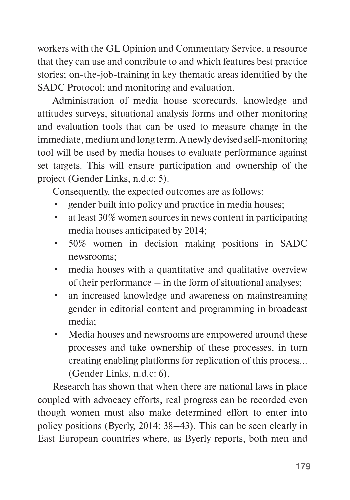workers with the GL Opinion and Commentary Service, a resource that they can use and contribute to and which features best practice stories; on-the-job-training in key thematic areas identified by the SADC Protocol; and monitoring and evaluation.

Administration of media house scorecards, knowledge and attitudes surveys, situational analysis forms and other monitoring and evaluation tools that can be used to measure change in the immediate, medium and long term. A newly devised self-monitoring tool will be used by media houses to evaluate performance against set targets. This will ensure participation and ownership of the project (Gender Links, n.d.c: 5).

Consequently, the expected outcomes are as follows:

- gender built into policy and practice in media houses;
- at least 30% women sources in news content in participating media houses anticipated by 2014;
- 50% women in decision making positions in SADC newsrooms;
- media houses with a quantitative and qualitative overview of their performance – in the form of situational analyses;
- an increased knowledge and awareness on mainstreaming gender in editorial content and programming in broadcast media;
- Media houses and newsrooms are empowered around these processes and take ownership of these processes, in turn creating enabling platforms for replication of this process… (Gender Links, n.d.c: 6).

Research has shown that when there are national laws in place coupled with advocacy efforts, real progress can be recorded even though women must also make determined effort to enter into policy positions (Byerly, 2014: 38–43). This can be seen clearly in East European countries where, as Byerly reports, both men and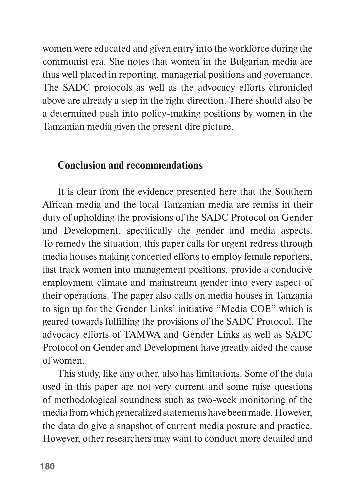women were educated and given entry into the workforce during the communist era. She notes that women in the Bulgarian media are thus well placed in reporting, managerial positions and governance. The SADC protocols as well as the advocacy efforts chronicled above are already a step in the right direction. There should also be a determined push into policy-making positions by women in the Tanzanian media given the present dire picture.

### **Conclusion and recommendations**

It is clear from the evidence presented here that the Southern African media and the local Tanzanian media are remiss in their duty of upholding the provisions of the SADC Protocol on Gender and Development, specifically the gender and media aspects. To remedy the situation, this paper calls for urgent redress through media houses making concerted efforts to employ female reporters, fast track women into management positions, provide a conducive employment climate and mainstream gender into every aspect of their operations. The paper also calls on media houses in Tanzania to sign up for the Gender Links' initiative "Media COE" which is geared towards fulfilling the provisions of the SADC Protocol. The advocacy efforts of TAMWA and Gender Links as well as SADC Protocol on Gender and Development have greatly aided the cause of women.

This study, like any other, also has limitations. Some of the data used in this paper are not very current and some raise questions of methodological soundness such as two-week monitoring of the media from which generalized statements have been made. However, the data do give a snapshot of current media posture and practice. However, other researchers may want to conduct more detailed and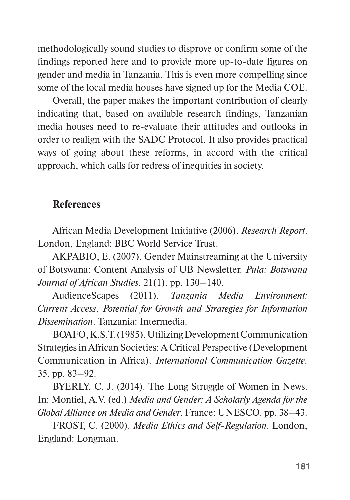methodologically sound studies to disprove or confirm some of the findings reported here and to provide more up-to-date figures on gender and media in Tanzania. This is even more compelling since some of the local media houses have signed up for the Media COE.

Overall, the paper makes the important contribution of clearly indicating that, based on available research findings, Tanzanian media houses need to re-evaluate their attitudes and outlooks in order to realign with the SADC Protocol. It also provides practical ways of going about these reforms, in accord with the critical approach, which calls for redress of inequities in society.

### **References**

African Media Development Initiative (2006). *Research Report*. London, England: BBC World Service Trust.

AKPABIO, E. (2007). Gender Mainstreaming at the University of Botswana: Content Analysis of UB Newsletter. *Pula: Botswana Journal of African Studies.* 21(1). pp. 130–140.

AudienceScapes (2011). *Tanzania Media Environment: Current Access, Potential for Growth and Strategies for Information Dissemination*. Tanzania: Intermedia.

BOAFO, K.S.T. (1985). Utilizing Development Communication Strategies in African Societies: A Critical Perspective (Development Communication in Africa). *International Communication Gazette.* 35. pp. 83–92.

BYERLY, C. J. (2014). The Long Struggle of Women in News. In: Montiel, A.V. (ed.) *Media and Gender: A Scholarly Agenda for the Global Alliance on Media and Gender*. France: UNESCO. pp. 38–43.

FROST, C. (2000). *Media Ethics and Self-Regulation*. London, England: Longman.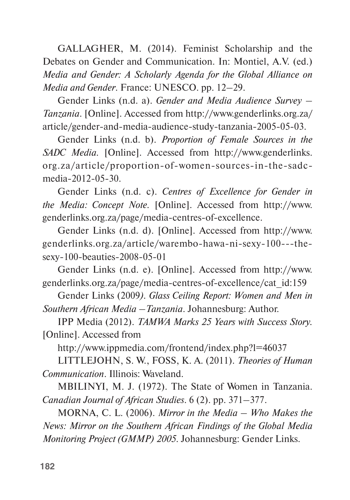GALLAGHER, M. (2014). Feminist Scholarship and the Debates on Gender and Communication. In: Montiel, A.V. (ed.) *Media and Gender: A Scholarly Agenda for the Global Alliance on Media and Gender*. France: UNESCO. pp. 12–29.

Gender Links (n.d. a). *Gender and Media Audience Survey – Tanzania*. [Online]. Accessed from http://www.genderlinks.org.za/ article/gender-and-media-audience-study-tanzania-2005-05-03.

Gender Links (n.d. b). *Proportion of Female Sources in the SADC Media.* [Online]. Accessed from http://www.genderlinks. org.za/article/proportion-of-women-sources-in-the-sadcmedia-2012-05-30.

Gender Links (n.d. c). *Centres of Excellence for Gender in the Media: Concept Note.* [Online]. Accessed from http://www. genderlinks.org.za/page/media-centres-of-excellence.

Gender Links (n.d. d). [Online]. Accessed from http://www. genderlinks.org.za/article/warembo-hawa-ni-sexy-100---thesexy-100-beauties-2008-05-01

Gender Links (n.d. e). [Online]. Accessed from http://www. genderlinks.org.za/page/media-centres-of-excellence/cat\_id:159

Gender Links (2009*). Glass Ceiling Report: Women and Men in Southern African Media –Tanzania*. Johannesburg: Author.

IPP Media (2012). *TAMWA Marks 25 Years with Success Story.* [Online]. Accessed from

http://www.ippmedia.com/frontend/index.php?l=46037

LITTLEJOHN, S. W., FOSS, K. A. (2011). *Theories of Human Communication*. Illinois: Waveland.

MBILINYI, M. J. (1972). The State of Women in Tanzania. *Canadian Journal of African Studies*. 6 (2). pp. 371–377.

MORNA, C. L. (2006). *Mirror in the Media – Who Makes the News: Mirror on the Southern African Findings of the Global Media Monitoring Project (GMMP) 2005*. Johannesburg: Gender Links.